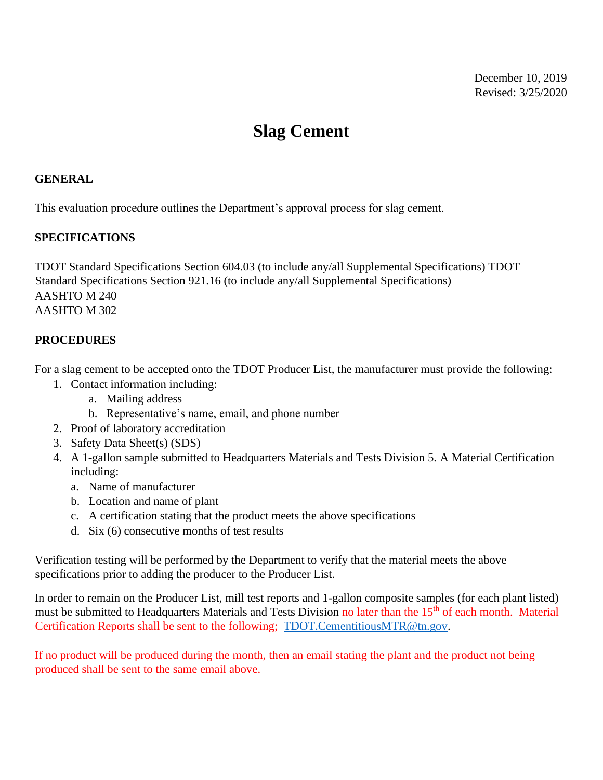## **Slag Cement**

## **GENERAL**

This evaluation procedure outlines the Department's approval process for slag cement.

## **SPECIFICATIONS**

TDOT Standard Specifications Section 604.03 (to include any/all Supplemental Specifications) TDOT Standard Specifications Section 921.16 (to include any/all Supplemental Specifications) AASHTO M 240 AASHTO M 302

## **PROCEDURES**

For a slag cement to be accepted onto the TDOT Producer List, the manufacturer must provide the following:

- 1. Contact information including:
	- a. Mailing address
	- b. Representative's name, email, and phone number
- 2. Proof of laboratory accreditation
- 3. Safety Data Sheet(s) (SDS)
- 4. A 1-gallon sample submitted to Headquarters Materials and Tests Division 5. A Material Certification including:
	- a. Name of manufacturer
	- b. Location and name of plant
	- c. A certification stating that the product meets the above specifications
	- d. Six (6) consecutive months of test results

Verification testing will be performed by the Department to verify that the material meets the above specifications prior to adding the producer to the Producer List.

In order to remain on the Producer List, mill test reports and 1-gallon composite samples (for each plant listed) must be submitted to Headquarters Materials and Tests Division no later than the 15<sup>th</sup> of each month. Material Certification Reports shall be sent to the following; [TDOT.CementitiousMTR@tn.gov.](mailto:TDOT.CementitiousMTR@tn.gov)

If no product will be produced during the month, then an email stating the plant and the product not being produced shall be sent to the same email above.